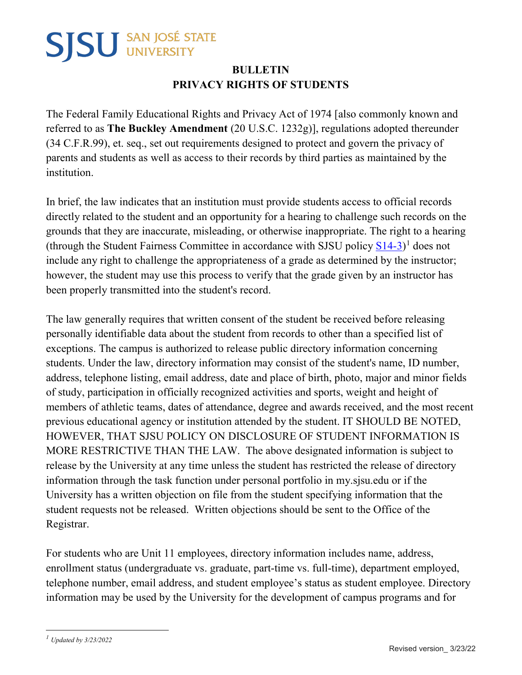## **SJSU** SAN JOSÉ STATE

## **BULLETIN PRIVACY RIGHTS OF STUDENTS**

The Federal Family Educational Rights and Privacy Act of 1974 [also commonly known and referred to as **The Buckley Amendment** (20 U.S.C. 1232g)], regulations adopted thereunder (34 C.F.R.99), et. seq., set out requirements designed to protect and govern the privacy of parents and students as well as access to their records by third parties as maintained by the institution.

In brief, the law indicates that an institution must provide students access to official records directly related to the student and an opportunity for a hearing to challenge such records on the grounds that they are inaccurate, misleading, or otherwise inappropriate. The right to a hearing (through the Student Fairness Committee in accordance with [SJSU policy](https://www.sjsu.edu/senate/docs/S14-3.pdf)  $\underline{S14-3}$  $\underline{S14-3}$  $\underline{S14-3}$ )<sup>1</sup> does not include any right to challenge the appropriateness of a grade as determined by the instructor; however, the student may use this process to verify that the grade given by an instructor has been properly transmitted into the student's record.

The law generally requires that written consent of the student be received before releasing personally identifiable data about the student from records to other than a specified list of exceptions. The campus is authorized to release public directory information concerning students. Under the law, directory information may consist of the student's name, ID number, address, telephone listing, email address, date and place of birth, photo, major and minor fields of study, participation in officially recognized activities and sports, weight and height of members of athletic teams, dates of attendance, degree and awards received, and the most recent previous educational agency or institution attended by the student. IT SHOULD BE NOTED, HOWEVER, THAT SJSU POLICY ON DISCLOSURE OF STUDENT INFORMATION IS MORE RESTRICTIVE THAN THE LAW. The above designated information is subject to release by the University at any time unless the student has restricted the release of directory information through the task function under personal portfolio in my.sjsu.edu or if the University has a written objection on file from the student specifying information that the student requests not be released. Written objections should be sent to the Office of the Registrar.

For students who are Unit 11 employees, directory information includes name, address, enrollment status (undergraduate vs. graduate, part-time vs. full-time), department employed, telephone number, email address, and student employee's status as student employee. Directory information may be used by the University for the development of campus programs and for

<span id="page-0-0"></span> $\overline{a}$ *<sup>1</sup> Updated by 3/23/2022*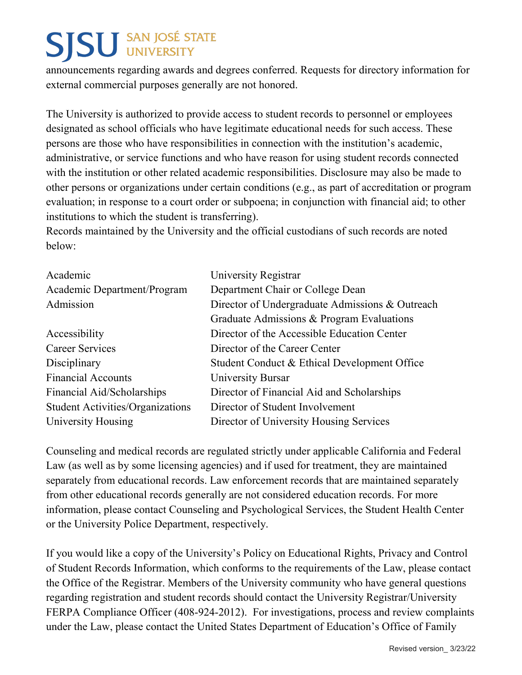## **SJSU** SAN JOSÉ STATE

announcements regarding awards and degrees conferred. Requests for directory information for external commercial purposes generally are not honored.

The University is authorized to provide access to student records to personnel or employees designated as school officials who have legitimate educational needs for such access. These persons are those who have responsibilities in connection with the institution's academic, administrative, or service functions and who have reason for using student records connected with the institution or other related academic responsibilities. Disclosure may also be made to other persons or organizations under certain conditions (e.g., as part of accreditation or program evaluation; in response to a court order or subpoena; in conjunction with financial aid; to other institutions to which the student is transferring).

Records maintained by the University and the official custodians of such records are noted below:

| University Registrar                            |
|-------------------------------------------------|
| Department Chair or College Dean                |
| Director of Undergraduate Admissions & Outreach |
| Graduate Admissions & Program Evaluations       |
| Director of the Accessible Education Center     |
| Director of the Career Center                   |
| Student Conduct & Ethical Development Office    |
| University Bursar                               |
| Director of Financial Aid and Scholarships      |
| Director of Student Involvement                 |
| Director of University Housing Services         |
|                                                 |

Counseling and medical records are regulated strictly under applicable California and Federal Law (as well as by some licensing agencies) and if used for treatment, they are maintained separately from educational records. Law enforcement records that are maintained separately from other educational records generally are not considered education records. For more information, please contact Counseling and Psychological Services, the Student Health Center or the University Police Department, respectively.

If you would like a copy of the University's Policy on Educational Rights, Privacy and Control of Student Records Information, which conforms to the requirements of the Law, please contact the Office of the Registrar. Members of the University community who have general questions regarding registration and student records should contact the University Registrar/University FERPA Compliance Officer (408-924-2012). For investigations, process and review complaints under the Law, please contact the United States Department of Education's Office of Family